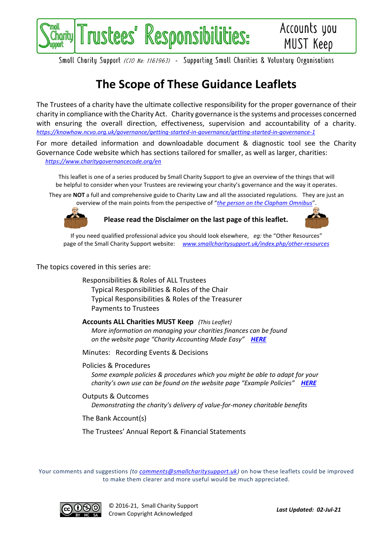

Smoll Charity Support (CIO No: 1161963) - Supporting Smoll Charities & Voluntary Organisations

## **The Scope of These Guidance Leaflets**

The Trustees of a charity have the ultimate collective responsibility for the proper governance of their charity in compliance with the Charity Act. Charity governance is the systems and processes concerned with ensuring the overall direction, effectiveness, supervision and accountability of a charity. *<https://knowhow.ncvo.org.uk/governance/getting-started-in-governance/getting-started-in-governance-1>*

For more detailed information and downloadable document & diagnostic tool see the Charity Governance Code website which has sections tailored for smaller, as well as larger, charities: *<https://www.charitygovernancecode.org/en>*

This leaflet is one of a series produced by Small Charity Support to give an overview of the things that will be helpful to consider when your Trustees are reviewing your charity's governance and the way it operates.

They are **NOT** a full and comprehensive guide to Charity Law and all the associated regulations. They are just an overview of the main points from the perspective of "*[the person on the Clapham Omnibus](https://en.wikipedia.org/wiki/The_man_on_the_Clapham_omnibus)*".



**Please read the Disclaimer on the last page of this leaflet.**



If you need qualified professional advice you should look elsewhere, *eg:* the "Other Resources" page of the Small Charity Support website: *[www.smallcharitysupport.uk/index.php/other-resources](http://www.smallcharitysupport.uk/index.php/other-resources)*

The topics covered in this series are:

Responsibilities & Roles of ALL Trustees Typical Responsibilities & Roles of the Chair Typical Responsibilities & Roles of the Treasurer Payments to Trustees

**Accounts ALL Charities MUST Keep** *{This Leaflet} More information on managing your charities finances can be found on the website page "Charity Accounting Made Easy" [HERE](https://www.smallcharitysupport.uk/index.php/accountsmadeeasy)*

Minutes: Recording Events & Decisions

Policies & Procedures

*Some example policies & procedures which you might be able to adapt for your charity's own use can be found on the website page "Example Policies" [HERE](https://www.smallcharitysupport.uk/index.php/example-policies)*

Outputs & Outcomes *Demonstrating the charity's delivery of value-for-money charitable benefits*

The Bank Account(s)

The Trustees' Annual Report & Financial Statements

Your comments and suggestions *(to [comments@smallcharitysupport.uk\)](mailto:comments@smallcharitysupport.uk)* on how these leaflets could be improved to make them clearer and more useful would be much appreciated.



© 2016-21, Small Charity Support Crown Copyright Acknowledged *Last Updated: 02-Jul-21*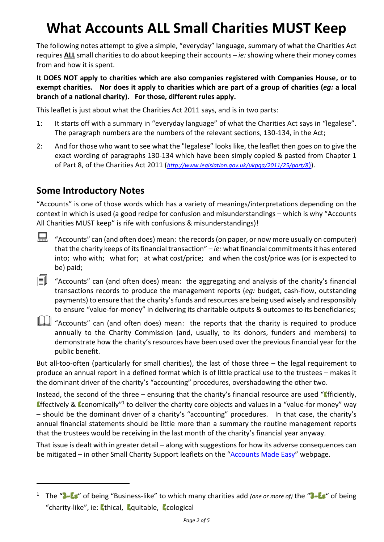# **What Accounts ALL Small Charities MUST Keep**

The following notes attempt to give a simple, "everyday" language, summary of what the Charities Act requires **ALL** small charities to do about keeping their accounts – *ie:*showing where their money comes from and how it is spent.

**It DOES NOT apply to charities which are also companies registered with Companies House, or to exempt charities. Nor does it apply to charities which are part of a group of charities (***eg:* **a local branch of a national charity). For those, different rules apply.**

This leaflet is just about what the Charities Act 2011 says, and is in two parts:

- 1: It starts off with a summary in "everyday language" of what the Charities Act says in "legalese". The paragraph numbers are the numbers of the relevant sections, 130-134, in the Act;
- 2: And for those who want to see what the "legalese" looks like, the leaflet then goes on to give the exact wording of paragraphs 130-134 which have been simply copied & pasted from Chapter 1 of Part 8, of the Charities Act 2011 (*[http://www.legislation.gov.uk/ukpga/2011/25/part/8](http://www.legislation.gov.uk/ukpga/2011/25/part/8))*[\)\)](http://www.legislation.gov.uk/ukpga/2011/25/part/8)).

### **Some Introductory Notes**

"Accounts" is one of those words which has a variety of meanings/interpretations depending on the context in which is used (a good recipe for confusion and misunderstandings – which is why "Accounts All Charities MUST keep" is rife with confusions & misunderstandings)!

 $\Box$  "Accounts" can (and often does) mean: the records (on paper, or now more usually on computer) that the charity keeps of its financial transaction" – *ie:* what financial commitments it has entered into; who with; what for; at what cost/price; and when the cost/price was (or is expected to be) paid;

 $\equiv$  "Accounts" can (and often does) mean: the aggregating and analysis of the charity's financial transactions records to produce the management reports (*eg:* budget, cash-flow, outstanding payments) to ensure that the charity's funds and resources are being used wisely and responsibly to ensure "value-for-money" in delivering its charitable outputs & outcomes to its beneficiaries;



"Accounts" can (and often does) mean: the reports that the charity is required to produce annually to the Charity Commission (and, usually, to its donors, funders and members) to demonstrate how the charity's resources have been used over the previous financial year for the public benefit.

But all-too-often (particularly for small charities), the last of those three – the legal requirement to produce an annual report in a defined format which is of little practical use to the trustees – makes it the dominant driver of the charity's "accounting" procedures, overshadowing the other two.

Instead, the second of the three – ensuring that the charity's financial resource are used "**Efficiently**, **Effectively & Economically**<sup>"1</sup> to deliver the charity core objects and values in a "value-for money" way – should be the dominant driver of a charity's "accounting" procedures. In that case, the charity's annual financial statements should be little more than a summary the routine management reports that the trustees would be receiving in the last month of the charity's financial year anyway.

That issue is dealt with in greater detail – along with suggestions for how its adverse consequences can be mitigated – in other Small Charity Support leaflets on the "[Accounts Made Easy](https://www.smallcharitysupport.uk/index.php/accountsmadeeasy)" webpage.

<sup>&</sup>lt;sup>1</sup> The "3-Es" of being "Business-like" to which many charities add *(one or more of)* the "3-Es" of being "charity-like", ie: Ethical, Equitable, Ecological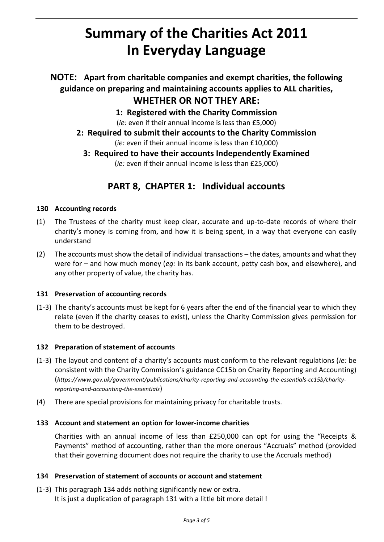## **Summary of the Charities Act 2011 In Everyday Language**

### **NOTE: Apart from charitable companies and exempt charities, the following guidance on preparing and maintaining accounts applies to ALL charities, WHETHER OR NOT THEY ARE:**

**1: Registered with the Charity Commission**

(*ie:* even if their annual income is less than £5,000)

**2: Required to submit their accounts to the Charity Commission** (*ie:* even if their annual income is less than £10,000)

**3: Required to have their accounts Independently Examined** (*ie:* even if their annual income is less than £25,000)

## **PART 8, CHAPTER 1: Individual accounts**

#### **130 Accounting records**

- (1) The Trustees of the charity must keep clear, accurate and up-to-date records of where their charity's money is coming from, and how it is being spent, in a way that everyone can easily understand
- (2) The accounts must show the detail of individual transactions the dates, amounts and what they were for – and how much money (*eg:* in its bank account, petty cash box, and elsewhere), and any other property of value, the charity has.

#### **131 Preservation of accounting records**

(1-3) The charity's accounts must be kept for 6 years after the end of the financial year to which they relate (even if the charity ceases to exist), unless the Charity Commission gives permission for them to be destroyed.

#### **132 Preparation of statement of accounts**

- (1-3) The layout and content of a charity's accounts must conform to the relevant regulations (*ie:* be consistent with the Charity Commission's guidance CC15b on Charity Reporting and Accounting) (*https://www.gov.uk/government/publications/charity-reporting-and-accounting-the-essentials-cc15b/charityreporting-and-accounting-the-essentials*)
- (4) There are special provisions for maintaining privacy for charitable trusts.

#### **133 Account and statement an option for lower-income charities**

Charities with an annual income of less than £250,000 can opt for using the "Receipts & Payments" method of accounting, rather than the more onerous "Accruals" method (provided that their governing document does not require the charity to use the Accruals method)

#### **134 Preservation of statement of accounts or account and statement**

(1-3) This paragraph 134 adds nothing significantly new or extra. It is just a duplication of paragraph 131 with a little bit more detail !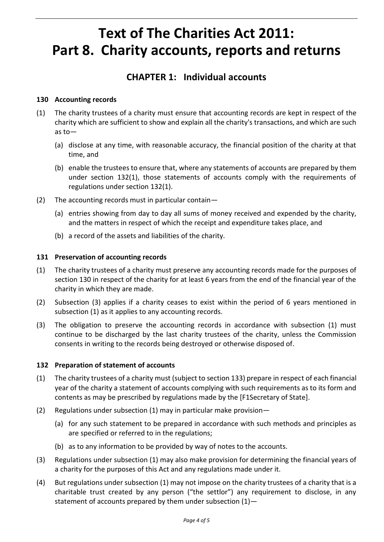## **Text of The Charities Act 2011: Part 8. Charity accounts, reports and returns**

## **CHAPTER 1: Individual accounts**

#### **130 Accounting records**

- (1) The charity trustees of a charity must ensure that accounting records are kept in respect of the charity which are sufficient to show and explain all the charity's transactions, and which are such as to—
	- (a) disclose at any time, with reasonable accuracy, the financial position of the charity at that time, and
	- (b) enable the trustees to ensure that, where any statements of accounts are prepared by them under section 132(1), those statements of accounts comply with the requirements of regulations under section 132(1).
- (2) The accounting records must in particular contain—
	- (a) entries showing from day to day all sums of money received and expended by the charity, and the matters in respect of which the receipt and expenditure takes place, and
	- (b) a record of the assets and liabilities of the charity.

#### **131 Preservation of accounting records**

- (1) The charity trustees of a charity must preserve any accounting records made for the purposes of section 130 in respect of the charity for at least 6 years from the end of the financial year of the charity in which they are made.
- (2) Subsection (3) applies if a charity ceases to exist within the period of 6 years mentioned in subsection (1) as it applies to any accounting records.
- (3) The obligation to preserve the accounting records in accordance with subsection (1) must continue to be discharged by the last charity trustees of the charity, unless the Commission consents in writing to the records being destroyed or otherwise disposed of.

#### **132 Preparation of statement of accounts**

- (1) The charity trustees of a charity must (subject to section 133) prepare in respect of each financial year of the charity a statement of accounts complying with such requirements as to its form and contents as may be prescribed by regulations made by the [F1Secretary of State].
- (2) Regulations under subsection (1) may in particular make provision—
	- (a) for any such statement to be prepared in accordance with such methods and principles as are specified or referred to in the regulations;
	- (b) as to any information to be provided by way of notes to the accounts.
- (3) Regulations under subsection (1) may also make provision for determining the financial years of a charity for the purposes of this Act and any regulations made under it.
- (4) But regulations under subsection (1) may not impose on the charity trustees of a charity that is a charitable trust created by any person ("the settlor") any requirement to disclose, in any statement of accounts prepared by them under subsection  $(1)$ -